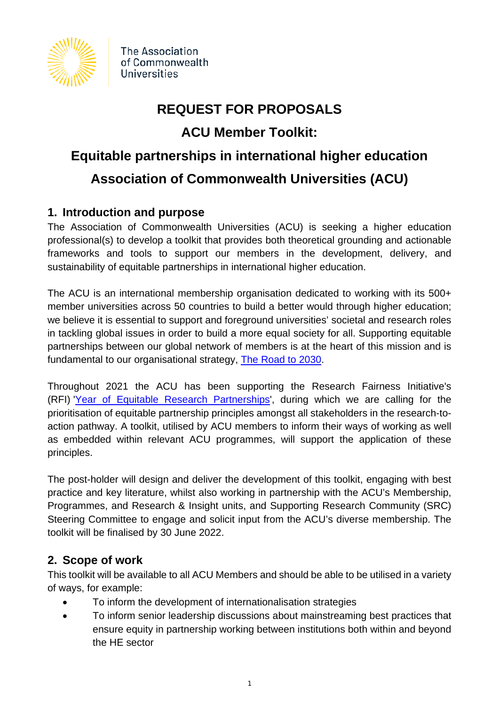

The Association of Commonwealth Universities

# **REQUEST FOR PROPOSALS**

# **ACU Member Toolkit:**

# **Equitable partnerships in international higher education Association of Commonwealth Universities (ACU)**

# **1. Introduction and purpose**

The Association of Commonwealth Universities (ACU) is seeking a higher education professional(s) to develop a toolkit that provides both theoretical grounding and actionable frameworks and tools to support our members in the development, delivery, and sustainability of equitable partnerships in international higher education.

The ACU is an international membership organisation dedicated to working with its 500+ member universities across 50 countries to build a better would through higher education; we believe it is essential to support and foreground universities' societal and research roles in tackling global issues in order to build a more equal society for all. Supporting equitable partnerships between our global network of members is at the heart of this mission and is fundamental to our organisational strategy, [The Road to 2030.](https://www.acu.ac.uk/media/2634/acu-strategy-the-road-to-2030.pdf)

Throughout 2021 the ACU has been supporting the Research Fairness Initiative's (RFI) ['Year of Equitable Research Partnerships'](https://rfi.cohred.org/2021-the-year-of-equitable-partnerships/), during which we are calling for the prioritisation of equitable partnership principles amongst all stakeholders in the research-toaction pathway. A toolkit, utilised by ACU members to inform their ways of working as well as embedded within relevant ACU programmes, will support the application of these principles.

The post-holder will design and deliver the development of this toolkit, engaging with best practice and key literature, whilst also working in partnership with the ACU's Membership, Programmes, and Research & Insight units, and Supporting Research Community (SRC) Steering Committee to engage and solicit input from the ACU's diverse membership. The toolkit will be finalised by 30 June 2022.

# **2. Scope of work**

This toolkit will be available to all ACU Members and should be able to be utilised in a variety of ways, for example:

- To inform the development of internationalisation strategies
- To inform senior leadership discussions about mainstreaming best practices that ensure equity in partnership working between institutions both within and beyond the HE sector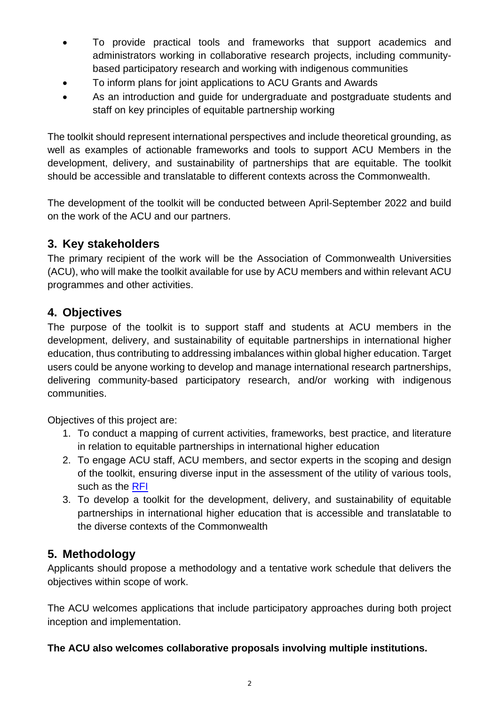- To provide practical tools and frameworks that support academics and administrators working in collaborative research projects, including communitybased participatory research and working with indigenous communities
- To inform plans for joint applications to ACU Grants and Awards
- As an introduction and guide for undergraduate and postgraduate students and staff on key principles of equitable partnership working

The toolkit should represent international perspectives and include theoretical grounding, as well as examples of actionable frameworks and tools to support ACU Members in the development, delivery, and sustainability of partnerships that are equitable. The toolkit should be accessible and translatable to different contexts across the Commonwealth.

The development of the toolkit will be conducted between April-September 2022 and build on the work of the ACU and our partners.

## **3. Key stakeholders**

The primary recipient of the work will be the Association of Commonwealth Universities (ACU), who will make the toolkit available for use by ACU members and within relevant ACU programmes and other activities.

## **4. Objectives**

The purpose of the toolkit is to support staff and students at ACU members in the development, delivery, and sustainability of equitable partnerships in international higher education, thus contributing to addressing imbalances within global higher education. Target users could be anyone working to develop and manage international research partnerships, delivering community-based participatory research, and/or working with indigenous communities.

Objectives of this project are:

- 1. To conduct a mapping of current activities, frameworks, best practice, and literature in relation to equitable partnerships in international higher education
- 2. To engage ACU staff, ACU members, and sector experts in the scoping and design of the toolkit, ensuring diverse input in the assessment of the utility of various tools, such as the [RFI](https://rfi.cohred.org/)
- 3. To develop a toolkit for the development, delivery, and sustainability of equitable partnerships in international higher education that is accessible and translatable to the diverse contexts of the Commonwealth

# **5. Methodology**

Applicants should propose a methodology and a tentative work schedule that delivers the objectives within scope of work.

The ACU welcomes applications that include participatory approaches during both project inception and implementation.

#### **The ACU also welcomes collaborative proposals involving multiple institutions.**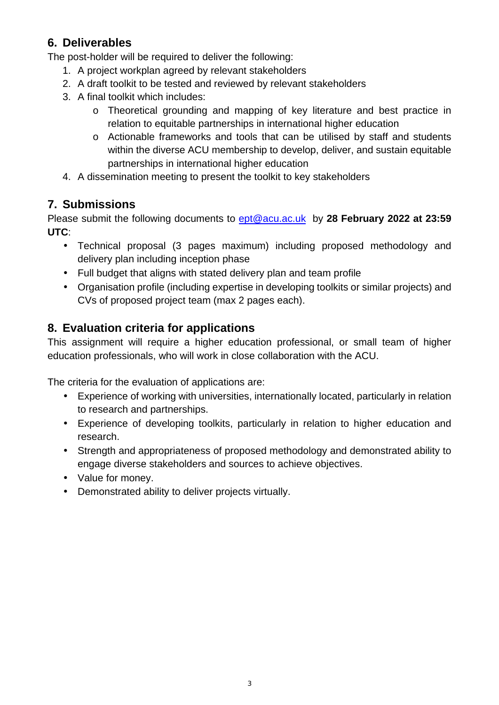# **6. Deliverables**

The post-holder will be required to deliver the following:

- 1. A project workplan agreed by relevant stakeholders
- 2. A draft toolkit to be tested and reviewed by relevant stakeholders
- 3. A final toolkit which includes:
	- o Theoretical grounding and mapping of key literature and best practice in relation to equitable partnerships in international higher education
	- o Actionable frameworks and tools that can be utilised by staff and students within the diverse ACU membership to develop, deliver, and sustain equitable partnerships in international higher education
- 4. A dissemination meeting to present the toolkit to key stakeholders

#### **7. Submissions**

Please submit the following documents to [ept@acu.ac.uk](mailto:ept@acu.ac.uk) by **28 February 2022 at 23:59 UTC**:

- Technical proposal (3 pages maximum) including proposed methodology and delivery plan including inception phase
- Full budget that aligns with stated delivery plan and team profile
- Organisation profile (including expertise in developing toolkits or similar projects) and CVs of proposed project team (max 2 pages each).

# **8. Evaluation criteria for applications**

This assignment will require a higher education professional, or small team of higher education professionals, who will work in close collaboration with the ACU.

The criteria for the evaluation of applications are:

- Experience of working with universities, internationally located, particularly in relation to research and partnerships.
- Experience of developing toolkits, particularly in relation to higher education and research.
- Strength and appropriateness of proposed methodology and demonstrated ability to engage diverse stakeholders and sources to achieve objectives.
- Value for money.
- Demonstrated ability to deliver projects virtually.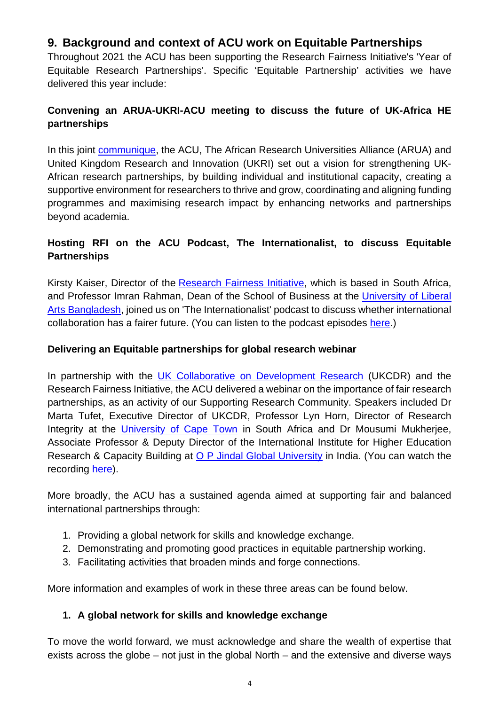# **9. Background and context of ACU work on Equitable Partnerships**

Throughout 2021 the ACU has been supporting the Research Fairness Initiative's 'Year of Equitable Research Partnerships'. Specific 'Equitable Partnership' activities we have delivered this year include:

#### **Convening an ARUA-UKRI-ACU meeting to discuss the future of UK-Africa HE partnerships**

In this joint [communique,](https://www.acu.ac.uk/africa-uk-communique/) the ACU, The African Research Universities Alliance (ARUA) and United Kingdom Research and Innovation (UKRI) set out a vision for strengthening UK-African research partnerships, by building individual and institutional capacity, creating a supportive environment for researchers to thrive and grow, coordinating and aligning funding programmes and maximising research impact by enhancing networks and partnerships beyond academia.

#### **Hosting RFI on the ACU Podcast, The Internationalist, to discuss Equitable Partnerships**

Kirsty Kaiser, Director of the [Research Fairness Initiative,](https://rfi.cohred.org/) which is based in South Africa, and Professor Imran Rahman, Dean of the School of Business at the [University of Liberal](https://ulab.edu.bd/)  [Arts Bangladesh,](https://ulab.edu.bd/) joined us on 'The Internationalist' podcast to discuss whether international collaboration has a fairer future. (You can listen to the podcast episodes [here.](https://www.acu.ac.uk/the-internationalist/))

#### **Delivering an Equitable partnerships for global research webinar**

In partnership with the [UK Collaborative on Development Research](https://www.ukcdr.org.uk/) (UKCDR) and the Research Fairness Initiative, the ACU delivered a webinar on the importance of fair research partnerships, as an activity of our Supporting Research Community. Speakers included Dr Marta Tufet, Executive Director of UKCDR, Professor Lyn Horn, Director of Research Integrity at the [University of Cape Town](https://www.uct.ac.za/) in South Africa and Dr Mousumi Mukherjee, Associate Professor & Deputy Director of the International Institute for Higher Education Research & Capacity Building at [O P Jindal Global University](https://jgu.edu.in/) in India. (You can watch the recording [here\)](https://www.youtube.com/watch?v=tHP9v6zkez0).

More broadly, the ACU has a sustained agenda aimed at supporting fair and balanced international partnerships through:

- 1. Providing a global network for skills and knowledge exchange.
- 2. Demonstrating and promoting good practices in equitable partnership working.
- 3. Facilitating activities that broaden minds and forge connections.

More information and examples of work in these three areas can be found below.

#### **1. A global network for skills and knowledge exchange**

To move the world forward, we must acknowledge and share the wealth of expertise that exists across the globe – not just in the global North – and the extensive and diverse ways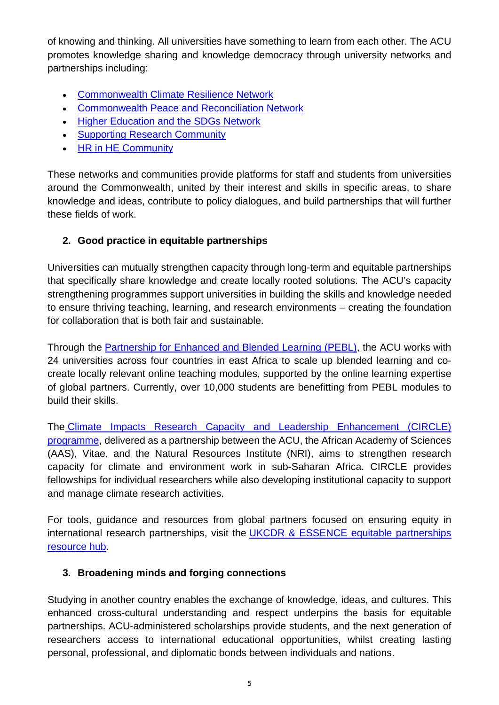of knowing and thinking. All universities have something to learn from each other. The ACU promotes knowledge sharing and knowledge democracy through university networks and partnerships including:

- [Commonwealth Climate Resilience Network](https://www.acu.ac.uk/get-involved/commonwealth-climate-resilience-network/)
- [Commonwealth Peace and Reconciliation Network](https://www.acu.ac.uk/news/acu-commonwealth-peace-and-reconciliation-network-convenes-in-australia/)
- [Higher Education and the SDGs Network](https://www.acu.ac.uk/get-involved/higher-education-and-the-sdgs-network/)
- [Supporting Research Community](https://www.acu.ac.uk/get-involved/supporting-research-community/)
- [HR in HE Community](https://www.acu.ac.uk/get-involved/hr-in-he-community/)

These networks and communities provide platforms for staff and students from universities around the Commonwealth, united by their interest and skills in specific areas, to share knowledge and ideas, contribute to policy dialogues, and build partnerships that will further these fields of work.

#### **2. Good practice in equitable partnerships**

Universities can mutually strengthen capacity through long-term and equitable partnerships that specifically share knowledge and create locally rooted solutions. The ACU's capacity strengthening programmes support universities in building the skills and knowledge needed to ensure thriving teaching, learning, and research environments – creating the foundation for collaboration that is both fair and sustainable.

Through the [Partnership for Enhanced and Blended Learning \(PEBL\),](https://www.acu.ac.uk/get-involved/pebl/) the ACU works with 24 universities across four countries in east Africa to scale up blended learning and cocreate locally relevant online teaching modules, supported by the online learning expertise of global partners. Currently, over 10,000 students are benefitting from PEBL modules to build their skills.

The [Climate Impacts Research Capacity and Leadership Enhancement \(CIRCLE\)](https://www.acu.ac.uk/get-involved/circle/)  [programme,](https://www.acu.ac.uk/get-involved/circle/) delivered as a partnership between the ACU, the African Academy of Sciences (AAS), Vitae, and the Natural Resources Institute (NRI), aims to strengthen research capacity for climate and environment work in sub-Saharan Africa. CIRCLE provides fellowships for individual researchers while also developing institutional capacity to support and manage climate research activities.

For tools, guidance and resources from global partners focused on ensuring equity in international research partnerships, visit the [UKCDR & ESSENCE equitable partnerships](https://www.ukcdr.org.uk/guidance/equitable-partnerships-hub/)  [resource hub.](https://www.ukcdr.org.uk/guidance/equitable-partnerships-hub/)

#### **3. Broadening minds and forging connections**

Studying in another country enables the exchange of knowledge, ideas, and cultures. This enhanced cross-cultural understanding and respect underpins the basis for equitable partnerships. ACU-administered scholarships provide students, and the next generation of researchers access to international educational opportunities, whilst creating lasting personal, professional, and diplomatic bonds between individuals and nations.